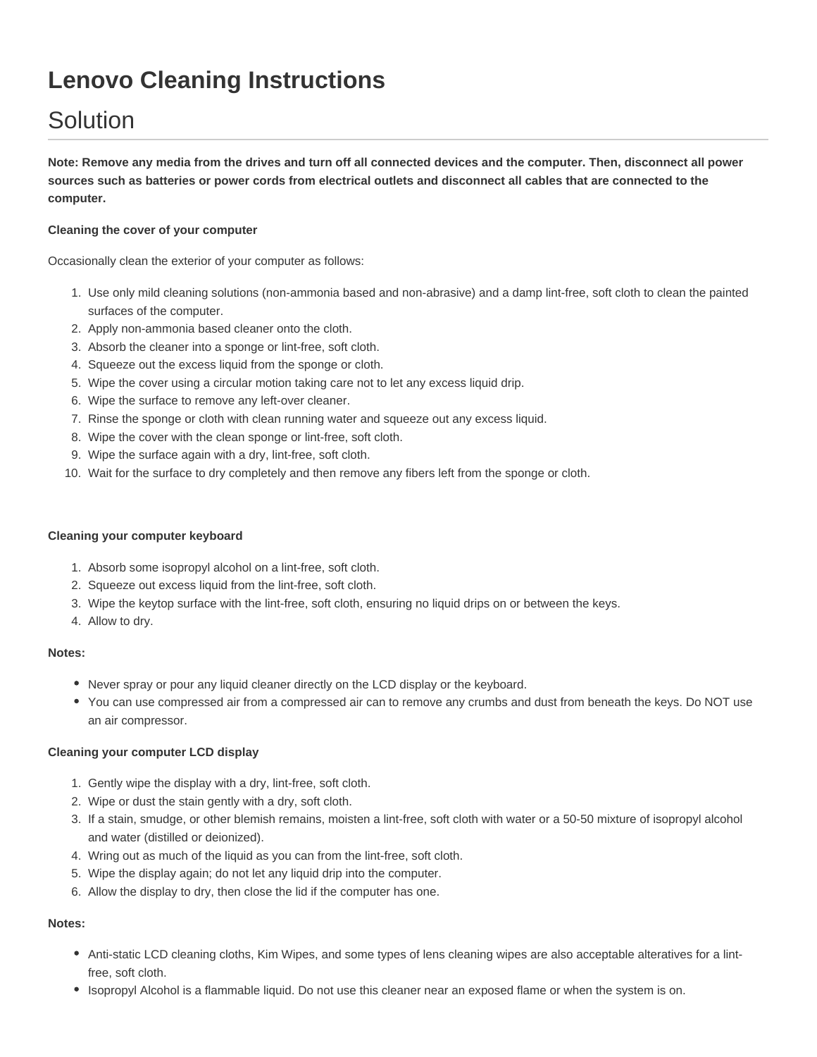# **Lenovo Cleaning Instructions**

## Solution

**Note: Remove any media from the drives and turn off all connected devices and the computer. Then, disconnect all power sources such as batteries or power cords from electrical outlets and disconnect all cables that are connected to the computer.**

#### **Cleaning the cover of your computer**

Occasionally clean the exterior of your computer as follows:

- 1. Use only mild cleaning solutions (non-ammonia based and non-abrasive) and a damp lint-free, soft cloth to clean the painted surfaces of the computer.
- 2. Apply non-ammonia based cleaner onto the cloth.
- 3. Absorb the cleaner into a sponge or lint-free, soft cloth.
- 4. Squeeze out the excess liquid from the sponge or cloth.
- 5. Wipe the cover using a circular motion taking care not to let any excess liquid drip.
- 6. Wipe the surface to remove any left-over cleaner.
- 7. Rinse the sponge or cloth with clean running water and squeeze out any excess liquid.
- 8. Wipe the cover with the clean sponge or lint-free, soft cloth.
- 9. Wipe the surface again with a dry, lint-free, soft cloth.
- 10. Wait for the surface to dry completely and then remove any fibers left from the sponge or cloth.

#### **Cleaning your computer keyboard**

- 1. Absorb some isopropyl alcohol on a lint-free, soft cloth.
- 2. Squeeze out excess liquid from the lint-free, soft cloth.
- 3. Wipe the keytop surface with the lint-free, soft cloth, ensuring no liquid drips on or between the keys.
- 4. Allow to dry.

#### **Notes:**

- Never spray or pour any liquid cleaner directly on the LCD display or the keyboard.
- You can use compressed air from a compressed air can to remove any crumbs and dust from beneath the keys. Do NOT use an air compressor.

#### **Cleaning your computer LCD display**

- 1. Gently wipe the display with a dry, lint-free, soft cloth.
- 2. Wipe or dust the stain gently with a dry, soft cloth.
- 3. If a stain, smudge, or other blemish remains, moisten a lint-free, soft cloth with water or a 50-50 mixture of isopropyl alcohol and water (distilled or deionized).
- 4. Wring out as much of the liquid as you can from the lint-free, soft cloth.
- 5. Wipe the display again; do not let any liquid drip into the computer.
- 6. Allow the display to dry, then close the lid if the computer has one.

### **Notes:**

- Anti-static LCD cleaning cloths, Kim Wipes, and some types of lens cleaning wipes are also acceptable alteratives for a lintfree, soft cloth.
- Isopropyl Alcohol is a flammable liquid. Do not use this cleaner near an exposed flame or when the system is on.